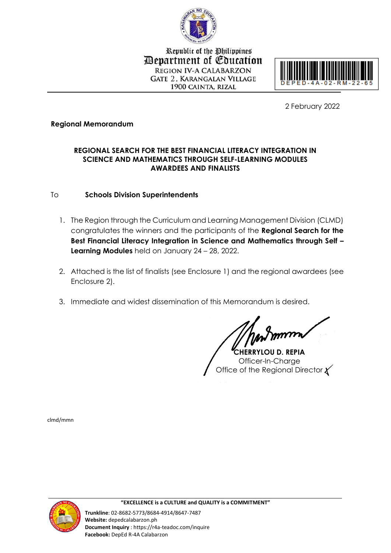

Republic of the Philippines **Department of Education REGION IV-A CALABARZON GATE 2. KARANGALAN VILLAGE** 1900 CAINTA, RIZAL



2 February 2022

# **Regional Memorandum**

# **REGIONAL SEARCH FOR THE BEST FINANCIAL LITERACY INTEGRATION IN SCIENCE AND MATHEMATICS THROUGH SELF-LEARNING MODULES AWARDEES AND FINALISTS**

# To **Schools Division Superintendents**

- 1. The Region through the Curriculum and Learning Management Division (CLMD) congratulates the winners and the participants of the **Regional Search for the Best Financial Literacy Integration in Science and Mathematics through Self – Learning Modules** held on January 24 – 28, 2022.
- 2. Attached is the list of finalists (see Enclosure 1) and the regional awardees (see Enclosure 2).
- 3. Immediate and widest dissemination of this Memorandum is desired.

**CHERRYLOU D. REPIA** Officer-In-Charge Office of the Regional Director  $\chi$ 

clmd/mmn

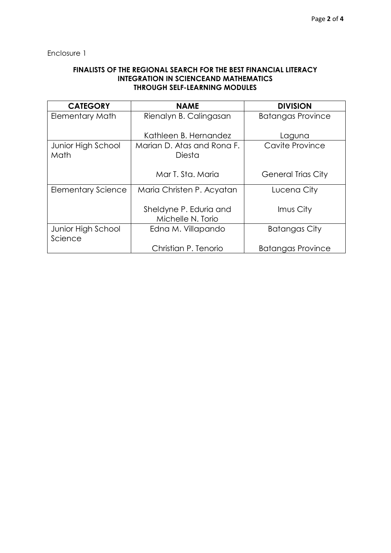Enclosure 1

## **FINALISTS OF THE REGIONAL SEARCH FOR THE BEST FINANCIAL LITERACY INTEGRATION IN SCIENCEAND MATHEMATICS THROUGH SELF-LEARNING MODULES**

| <b>CATEGORY</b>               | <b>NAME</b>                                 | <b>DIVISION</b>           |
|-------------------------------|---------------------------------------------|---------------------------|
| <b>Elementary Math</b>        | Rienalyn B. Calingasan                      | <b>Batangas Province</b>  |
|                               | Kathleen B. Hernandez                       | Laguna                    |
| Junior High School<br>Math    | Marian D. Atas and Rona F.<br>Diesta        | Cavite Province           |
|                               | Mar T. Sta. Maria                           | <b>General Trias City</b> |
| <b>Elementary Science</b>     | Maria Christen P. Acyatan                   | Lucena City               |
|                               | Sheldyne P. Eduria and<br>Michelle N. Torio | Imus City                 |
| Junior High School<br>Science | Edna M. Villapando                          | Batangas City             |
|                               | Christian P. Tenorio                        | <b>Batangas Province</b>  |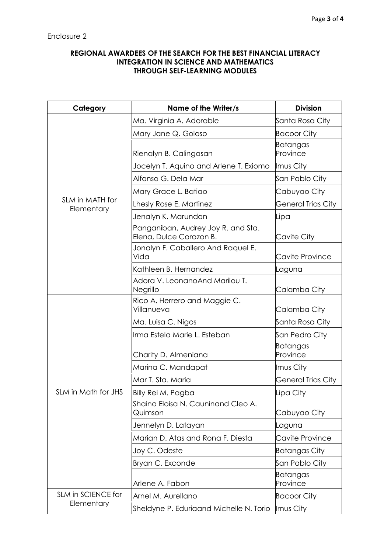## **REGIONAL AWARDEES OF THE SEARCH FOR THE BEST FINANCIAL LITERACY INTEGRATION IN SCIENCE AND MATHEMATICS THROUGH SELF-LEARNING MODULES**

| Category                      | Name of the Writer/s                                          | <b>Division</b>           |
|-------------------------------|---------------------------------------------------------------|---------------------------|
| SLM in MATH for<br>Elementary | Ma. Virginia A. Adorable                                      | Santa Rosa City           |
|                               | Mary Jane Q. Goloso                                           | <b>Bacoor City</b>        |
|                               | Rienalyn B. Calingasan                                        | Batangas<br>Province      |
|                               | Jocelyn T. Aquino and Arlene T. Exiomo                        | Imus City                 |
|                               | Alfonso G. Dela Mar                                           | San Pablo City            |
|                               | Mary Grace L. Batiao                                          | Cabuyao City              |
|                               | Lhesly Rose E. Martinez                                       | <b>General Trias City</b> |
|                               | Jenalyn K. Marundan                                           | Lipa                      |
|                               | Panganiban, Audrey Joy R. and Sta.<br>Elena, Dulce Corazon B. | Cavite City               |
|                               | Jonalyn F. Caballero And Raquel E.<br>Vida                    | Cavite Province           |
|                               | Kathleen B. Hernandez                                         | Laguna                    |
|                               | Adora V. LeonanoAnd Marilou T.<br>Negrillo                    | Calamba City              |
| SLM in Math for JHS           | Rico A. Herrero and Maggie C.<br>Villanueva                   | Calamba City              |
|                               | Ma. Luisa C. Nigos                                            | Santa Rosa City           |
|                               | Irma Estela Marie L. Esteban                                  | San Pedro City            |
|                               | Charity D. Almeniana                                          | Batangas<br>Province      |
|                               | Marina C. Mandapat                                            | Imus City                 |
|                               | Mar T. Sta. Maria                                             | <b>General Trias City</b> |
|                               | Billy Rei M. Pagba                                            | Lipa City                 |
|                               | Shaina Eloisa N. Cauninand Cleo A.<br>Quimson                 | Cabuyao City              |
|                               | Jennelyn D. Latayan                                           | Laguna                    |
|                               | Marian D. Atas and Rona F. Diesta                             | Cavite Province           |
|                               | Joy C. Odeste                                                 | <b>Batangas City</b>      |
|                               | Bryan C. Exconde                                              | San Pablo City            |
|                               | Arlene A. Fabon                                               | Batangas<br>Province      |
| SLM in SCIENCE for            | Arnel M. Aurellano                                            | <b>Bacoor City</b>        |
| Elementary                    | Sheldyne P. Eduriaand Michelle N. Torio                       | Imus City                 |